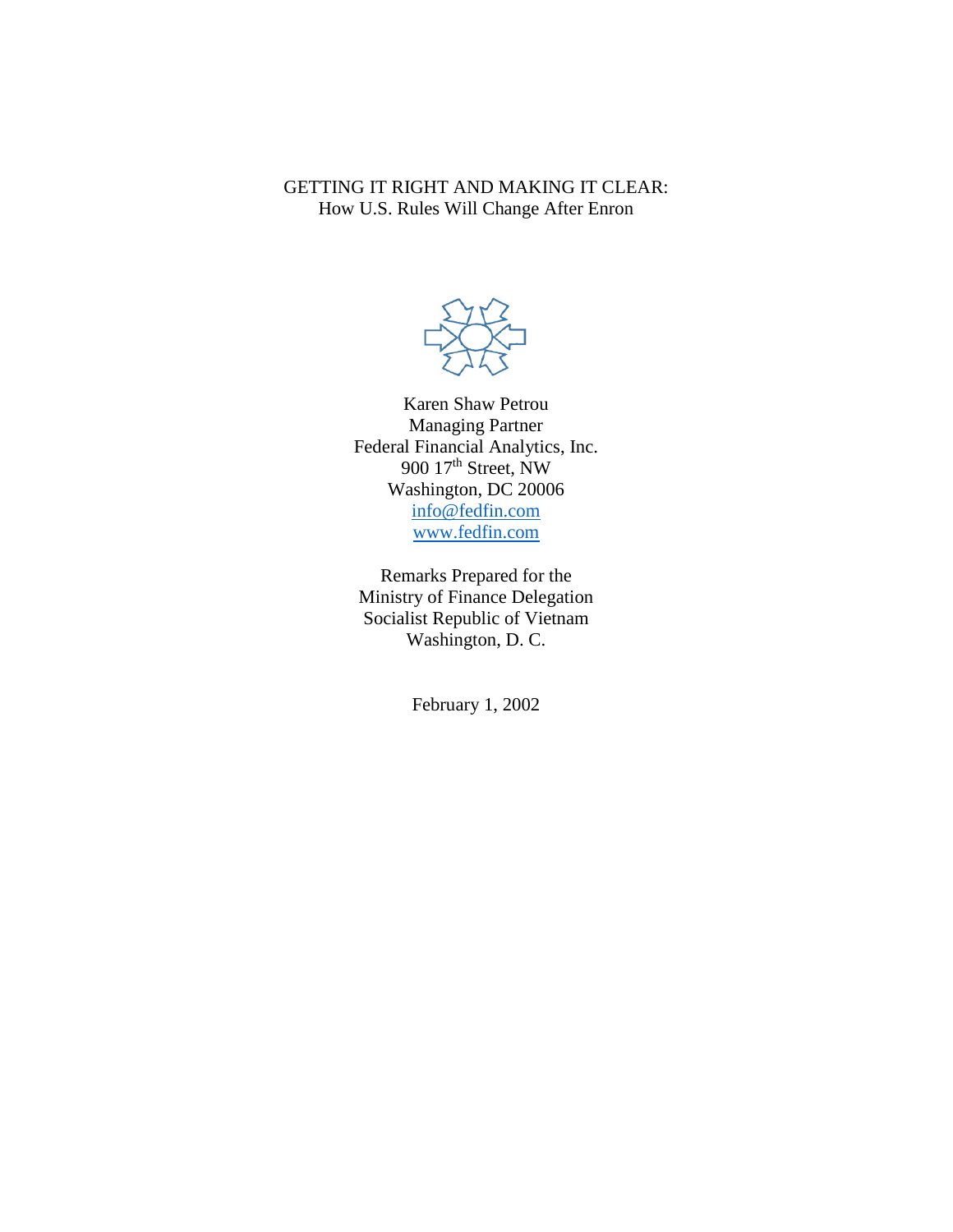GETTING IT RIGHT AND MAKING IT CLEAR: How U.S. Rules Will Change After Enron



Karen Shaw Petrou Managing Partner Federal Financial Analytics, Inc. 900 17<sup>th</sup> Street, NW Washington, DC 20006 [info@fedfin.com](mailto:info@fedfin.com) [www.fedfin.com](http://www.fedfin.com/)

Remarks Prepared for the Ministry of Finance Delegation Socialist Republic of Vietnam Washington, D. C.

February 1, 2002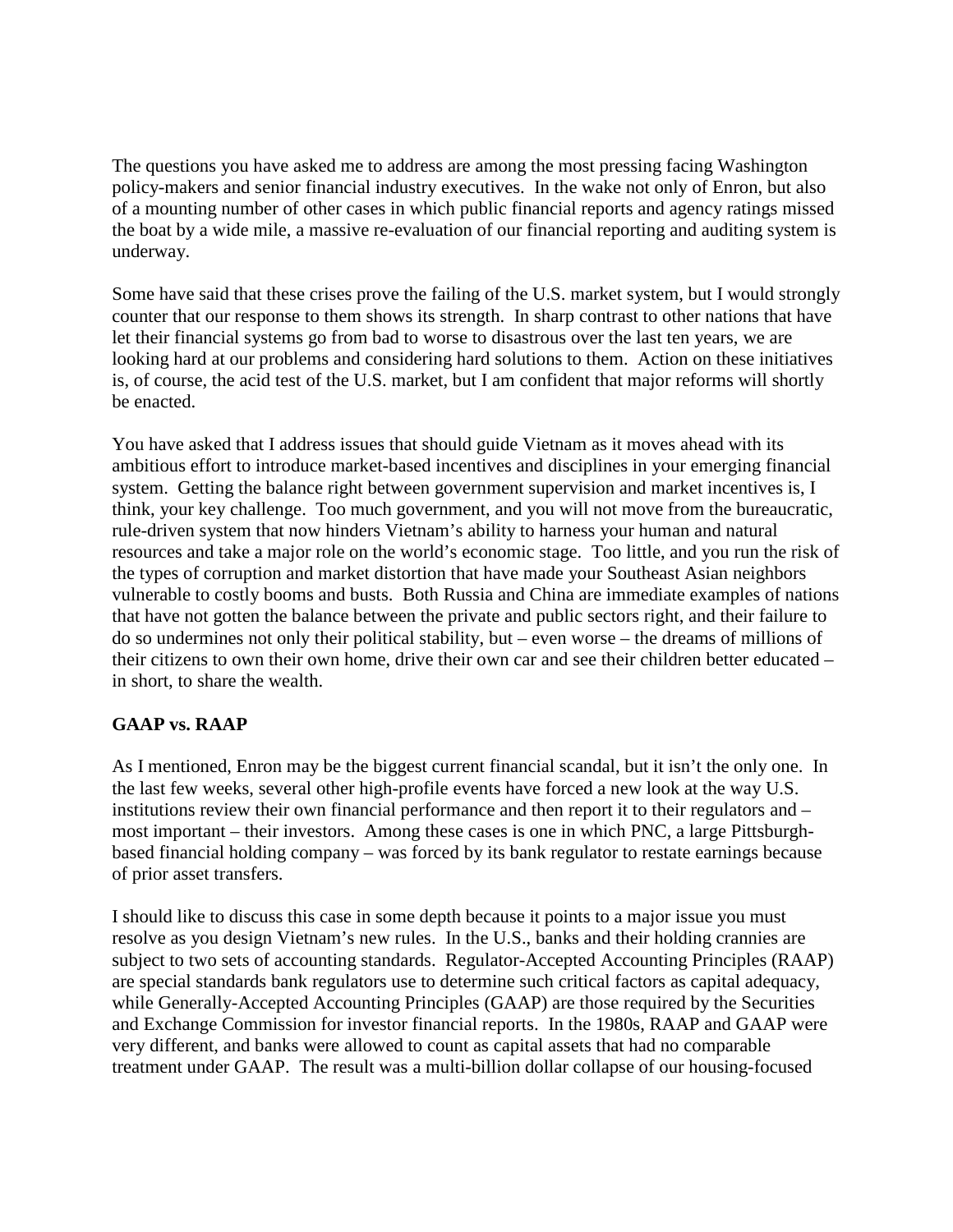The questions you have asked me to address are among the most pressing facing Washington policy-makers and senior financial industry executives. In the wake not only of Enron, but also of a mounting number of other cases in which public financial reports and agency ratings missed the boat by a wide mile, a massive re-evaluation of our financial reporting and auditing system is underway.

Some have said that these crises prove the failing of the U.S. market system, but I would strongly counter that our response to them shows its strength. In sharp contrast to other nations that have let their financial systems go from bad to worse to disastrous over the last ten years, we are looking hard at our problems and considering hard solutions to them. Action on these initiatives is, of course, the acid test of the U.S. market, but I am confident that major reforms will shortly be enacted.

You have asked that I address issues that should guide Vietnam as it moves ahead with its ambitious effort to introduce market-based incentives and disciplines in your emerging financial system. Getting the balance right between government supervision and market incentives is, I think, your key challenge. Too much government, and you will not move from the bureaucratic, rule-driven system that now hinders Vietnam's ability to harness your human and natural resources and take a major role on the world's economic stage. Too little, and you run the risk of the types of corruption and market distortion that have made your Southeast Asian neighbors vulnerable to costly booms and busts. Both Russia and China are immediate examples of nations that have not gotten the balance between the private and public sectors right, and their failure to do so undermines not only their political stability, but – even worse – the dreams of millions of their citizens to own their own home, drive their own car and see their children better educated – in short, to share the wealth.

## **GAAP vs. RAAP**

As I mentioned, Enron may be the biggest current financial scandal, but it isn't the only one. In the last few weeks, several other high-profile events have forced a new look at the way U.S. institutions review their own financial performance and then report it to their regulators and – most important – their investors. Among these cases is one in which PNC, a large Pittsburghbased financial holding company – was forced by its bank regulator to restate earnings because of prior asset transfers.

I should like to discuss this case in some depth because it points to a major issue you must resolve as you design Vietnam's new rules. In the U.S., banks and their holding crannies are subject to two sets of accounting standards. Regulator-Accepted Accounting Principles (RAAP) are special standards bank regulators use to determine such critical factors as capital adequacy, while Generally-Accepted Accounting Principles (GAAP) are those required by the Securities and Exchange Commission for investor financial reports. In the 1980s, RAAP and GAAP were very different, and banks were allowed to count as capital assets that had no comparable treatment under GAAP. The result was a multi-billion dollar collapse of our housing-focused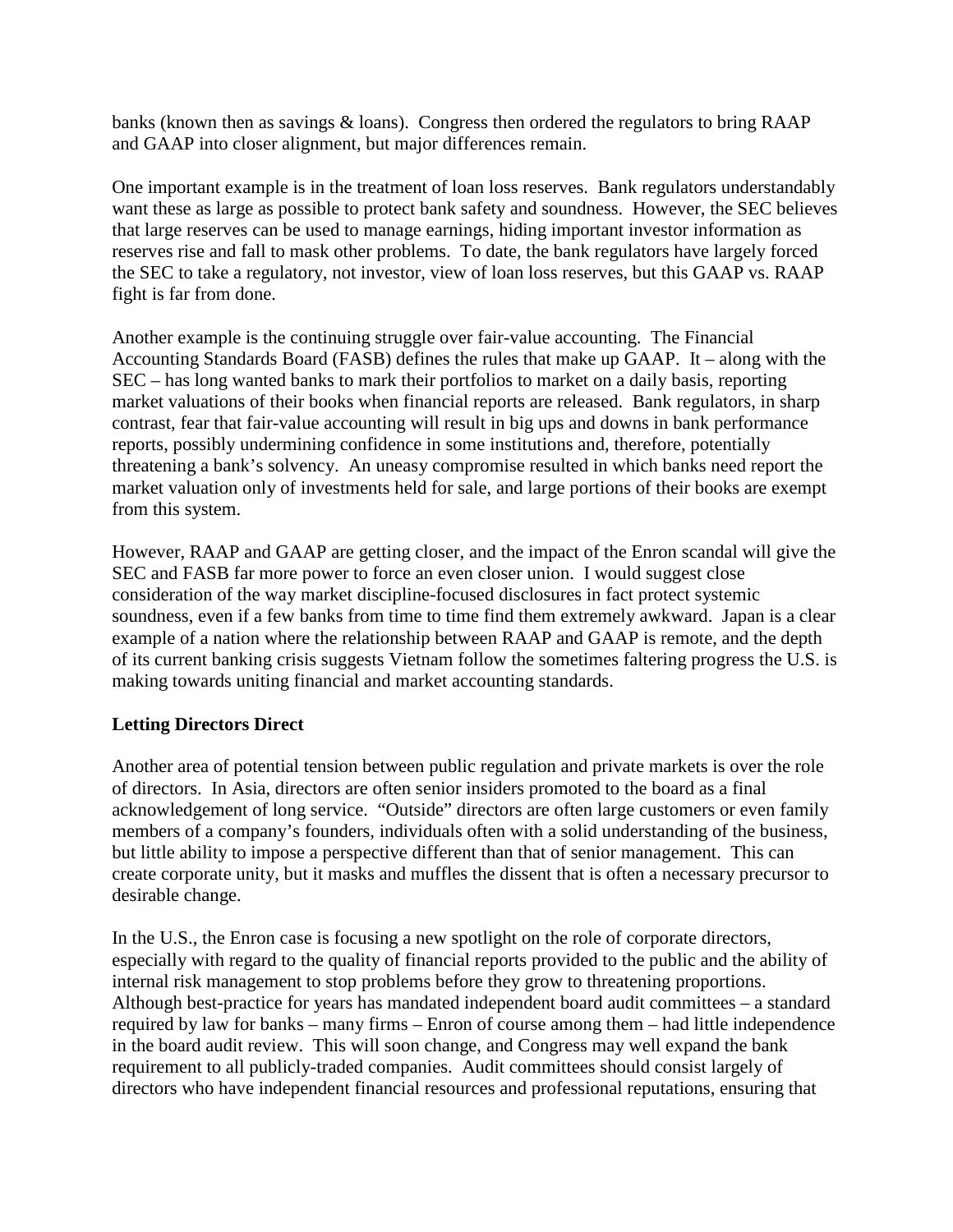banks (known then as savings & loans). Congress then ordered the regulators to bring RAAP and GAAP into closer alignment, but major differences remain.

One important example is in the treatment of loan loss reserves. Bank regulators understandably want these as large as possible to protect bank safety and soundness. However, the SEC believes that large reserves can be used to manage earnings, hiding important investor information as reserves rise and fall to mask other problems. To date, the bank regulators have largely forced the SEC to take a regulatory, not investor, view of loan loss reserves, but this GAAP vs. RAAP fight is far from done.

Another example is the continuing struggle over fair-value accounting. The Financial Accounting Standards Board (FASB) defines the rules that make up GAAP. It – along with the SEC – has long wanted banks to mark their portfolios to market on a daily basis, reporting market valuations of their books when financial reports are released. Bank regulators, in sharp contrast, fear that fair-value accounting will result in big ups and downs in bank performance reports, possibly undermining confidence in some institutions and, therefore, potentially threatening a bank's solvency. An uneasy compromise resulted in which banks need report the market valuation only of investments held for sale, and large portions of their books are exempt from this system.

However, RAAP and GAAP are getting closer, and the impact of the Enron scandal will give the SEC and FASB far more power to force an even closer union. I would suggest close consideration of the way market discipline-focused disclosures in fact protect systemic soundness, even if a few banks from time to time find them extremely awkward. Japan is a clear example of a nation where the relationship between RAAP and GAAP is remote, and the depth of its current banking crisis suggests Vietnam follow the sometimes faltering progress the U.S. is making towards uniting financial and market accounting standards.

## **Letting Directors Direct**

Another area of potential tension between public regulation and private markets is over the role of directors. In Asia, directors are often senior insiders promoted to the board as a final acknowledgement of long service. "Outside" directors are often large customers or even family members of a company's founders, individuals often with a solid understanding of the business, but little ability to impose a perspective different than that of senior management. This can create corporate unity, but it masks and muffles the dissent that is often a necessary precursor to desirable change.

In the U.S., the Enron case is focusing a new spotlight on the role of corporate directors, especially with regard to the quality of financial reports provided to the public and the ability of internal risk management to stop problems before they grow to threatening proportions. Although best-practice for years has mandated independent board audit committees – a standard required by law for banks – many firms – Enron of course among them – had little independence in the board audit review. This will soon change, and Congress may well expand the bank requirement to all publicly-traded companies. Audit committees should consist largely of directors who have independent financial resources and professional reputations, ensuring that